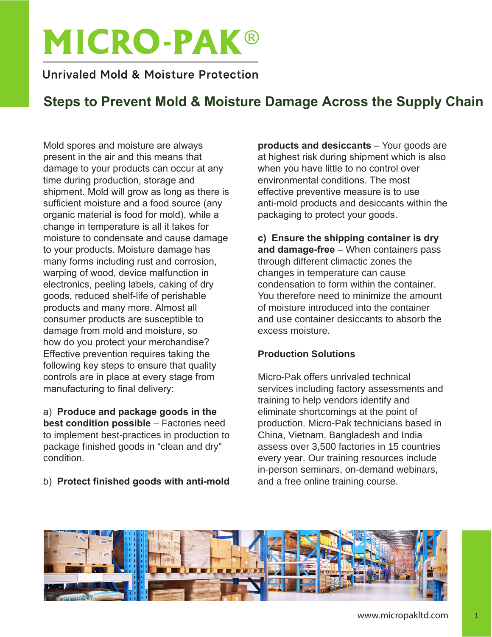# **MICRO-PAK®**

## Unrivaled Mold & Moisture Protection

## **Steps to Prevent Mold & Moisture Damage Across the Supply Chain**

Mold spores and moisture are always present in the air and this means that damage to your products can occur at any time during production, storage and shipment. Mold will grow as long as there is sufficient moisture and a food source (any organic material is food for mold), while a change in temperature is all it takes for moisture to condensate and cause damage to your products. Moisture damage has many forms including rust and corrosion, warping of wood, device malfunction in electronics, peeling labels, caking of dry goods, reduced shelf-life of perishable products and many more. Almost all consumer products are susceptible to damage from mold and moisture, so how do you protect your merchandise? Effective prevention requires taking the following key steps to ensure that quality controls are in place at every stage from manufacturing to final delivery:

a) **Produce and package goods in the best condition possible** – Factories need to implement best-practices in production to package finished goods in "clean and dry" condition.

## b) **Protect finished goods with anti-mold**

**products and desiccants** – Your goods are at highest risk during shipment which is also when you have little to no control over environmental conditions. The most effective preventive measure is to use anti-mold products and desiccants within the packaging to protect your goods.

## **c) Ensure the shipping container is dry**

**and damage-free** – When containers pass through different climactic zones the changes in temperature can cause condensation to form within the container. You therefore need to minimize the amount of moisture introduced into the container and use container desiccants to absorb the excess moisture.

## **Production Solutions**

Micro-Pak offers unrivaled technical services including factory assessments and training to help vendors identify and eliminate shortcomings at the point of production. Micro-Pak technicians based in China, Vietnam, Bangladesh and India assess over 3,500 factories in 15 countries every year. Our training resources include in-person seminars, on-demand webinars, and a free online training course.

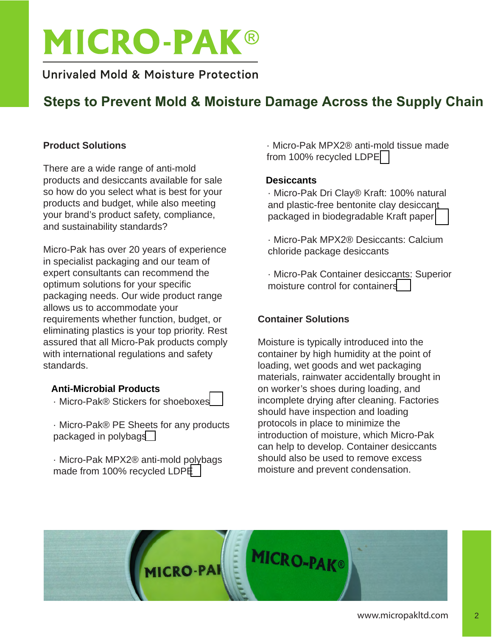# **MICRO-PAK®**

## Unrivaled Mold & Moisture Protection

# **Steps to Prevent Mold & Moisture Damage Across the Supply Chain**

#### **Product Solutions**

There are a wide range of anti-mold products and desiccants available for sale so how do you select what is best for your products and budget, while also meeting your brand's product safety, compliance, and sustainability standards?

Micro-Pak has over 20 years of experience in specialist packaging and our team of expert consultants can recommend the optimum solutions for your specific packaging needs. Our wide product range allows us to accommodate your requirements whether function, budget, or eliminating plastics is your top priority. Rest assured that all Micro-Pak products comply with international regulations and safety standards.

## **Anti-Microbial Products**

- · Micro-Pak® Stickers for shoeboxe[s](https://www.micropakltd.com/en/products/micro-pak-stickers)
- · Micro-Pak® PE Sheets for any products packaged in polybag[s](https://www.micropakltd.com/en/products/micro-pak-pe-sheets)
- · Micro-Pak MPX2® anti-mold polybags made from 100% recycled LDP[E](https://www.micropakltd.com/en/products/mpx2-polybag)

· Micro-Pak MPX2® anti-[mol](https://www.micropakltd.com/en/products/mpx2-poly-tissue)d tissue made from 100% recycled LDPE

#### **Desiccants**

· Micro-Pak Dri Clay® Kraft: 100% natural and plastic-free bentonite clay desicca[nt](https://www.micropakltd.com/en/products/micro-pak-dri-clay) packaged in biodegradable Kraft paper

- · Micro-Pak MPX2® Desiccants: Calcium chloride package desiccants
- · Micro-Pak Container desicc[ants:](https://www.micropakltd.com/en/products/micro-pak-container-desiccants) Superior moisture control for containers

## **Container Solutions**

Moisture is typically introduced into the container by high humidity at the point of loading, wet goods and wet packaging materials, rainwater accidentally brought in on worker's shoes during loading, and incomplete drying after cleaning. Factories should have inspection and loading protocols in place to minimize the introduction of moisture, which Micro-Pak can help to develop. Container desiccants should also be used to remove excess moisture and prevent condensation.